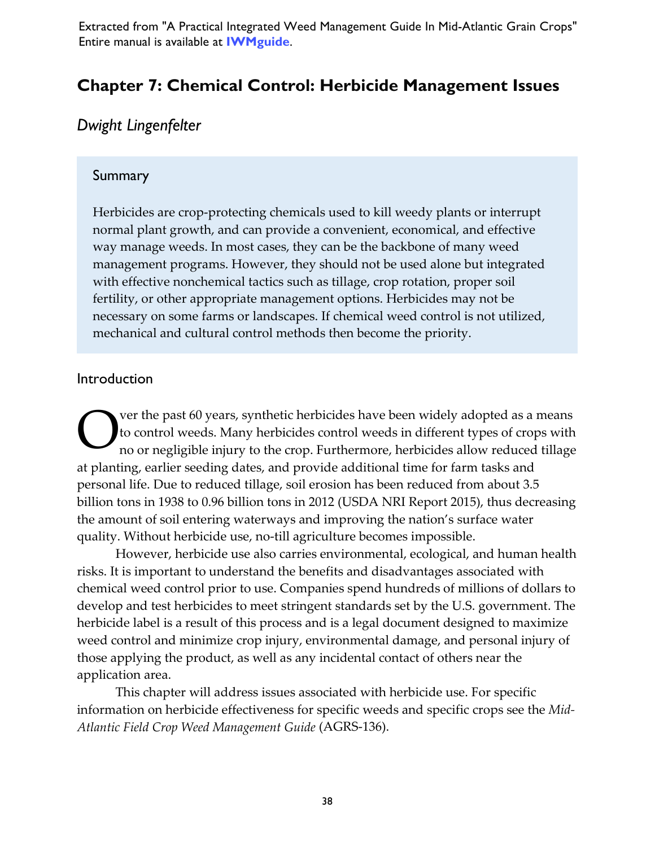Extracted from "A Practical Integrated Weed Management Guide In Mid-Atlantic Grain Crops" Entire manual is available at **[IWMguide](https://growiwm.org/wp-content/uploads/2019/11/IWMguide.pdf?x75253)**.

# **Chapter 7: Chemical Control: Herbicide Management Issues**

# *Dwight Lingenfelter*

#### **Summary**

Herbicides are crop-protecting chemicals used to kill weedy plants or interrupt normal plant growth, and can provide a convenient, economical, and effective way manage weeds. In most cases, they can be the backbone of many weed management programs. However, they should not be used alone but integrated with effective nonchemical tactics such as tillage, crop rotation, proper soil fertility, or other appropriate management options. Herbicides may not be necessary on some farms or landscapes. If chemical weed control is not utilized, mechanical and cultural control methods then become the priority.

#### Introduction

ver the past 60 years, synthetic herbicides have been widely adopted as a means to control weeds. Many herbicides control weeds in different types of crops with no or negligible injury to the crop. Furthermore, herbicides allow reduced tillage at planting, earlier seeding dates, and provide additional time for farm tasks and personal life. Due to reduced tillage, soil erosion has been reduced from about 3.5 billion tons in 1938 to 0.96 billion tons in 2012 (USDA NRI Report 2015), thus decreasing the amount of soil entering waterways and improving the nation's surface water quality. Without herbicide use, no-till agriculture becomes impossible. O

However, herbicide use also carries environmental, ecological, and human health risks. It is important to understand the benefits and disadvantages associated with chemical weed control prior to use. Companies spend hundreds of millions of dollars to develop and test herbicides to meet stringent standards set by the U.S. government. The herbicide label is a result of this process and is a legal document designed to maximize weed control and minimize crop injury, environmental damage, and personal injury of those applying the product, as well as any incidental contact of others near the application area.

This chapter will address issues associated with herbicide use. For specific information on herbicide effectiveness for specific weeds and specific crops see the *Mid-Atlantic Field Crop Weed Management Guide* (AGRS-136).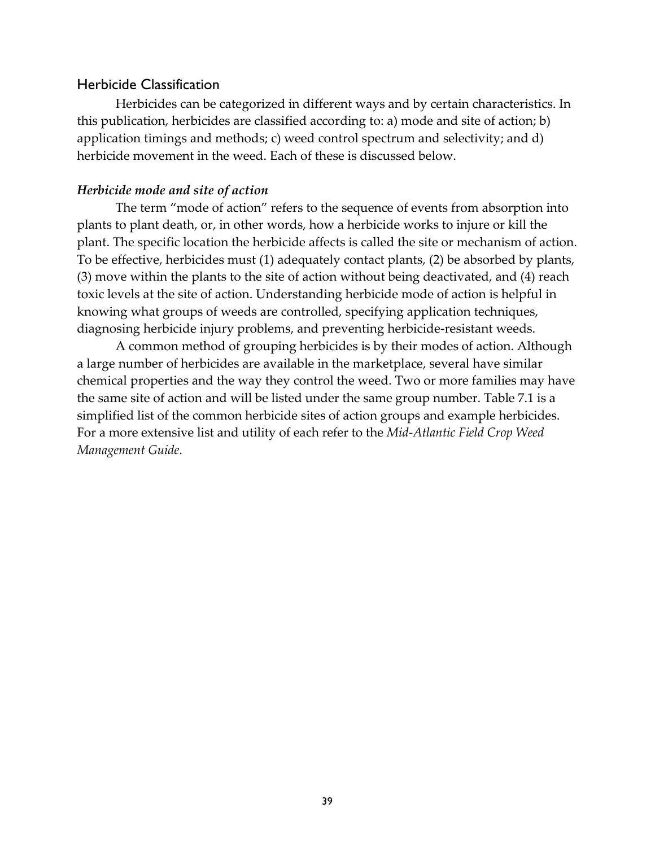#### Herbicide Classification

Herbicides can be categorized in different ways and by certain characteristics. In this publication, herbicides are classified according to: a) mode and site of action; b) application timings and methods; c) weed control spectrum and selectivity; and d) herbicide movement in the weed. Each of these is discussed below.

#### *Herbicide mode and site of action*

The term "mode of action" refers to the sequence of events from absorption into plants to plant death, or, in other words, how a herbicide works to injure or kill the plant. The specific location the herbicide affects is called the site or mechanism of action. To be effective, herbicides must (1) adequately contact plants, (2) be absorbed by plants, (3) move within the plants to the site of action without being deactivated, and (4) reach toxic levels at the site of action. Understanding herbicide mode of action is helpful in knowing what groups of weeds are controlled, specifying application techniques, diagnosing herbicide injury problems, and preventing herbicide-resistant weeds.

A common method of grouping herbicides is by their modes of action. Although a large number of herbicides are available in the marketplace, several have similar chemical properties and the way they control the weed. Two or more families may have the same site of action and will be listed under the same group number. Table 7.1 is a simplified list of the common herbicide sites of action groups and example herbicides. For a more extensive list and utility of each refer to the *Mid-Atlantic Field Crop Weed Management Guide*.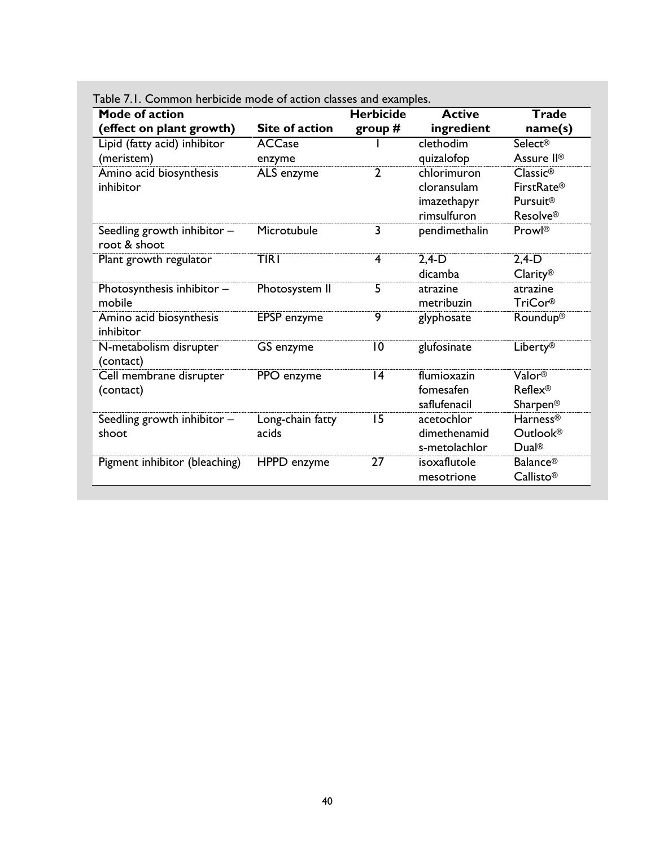| Mode of action                              |                  | <b>Herbicide</b> | <b>Active</b> | <b>Trade</b>           |
|---------------------------------------------|------------------|------------------|---------------|------------------------|
| (effect on plant growth)                    | Site of action   | group $#$        | ingredient    | name(s)                |
| Lipid (fatty acid) inhibitor                | <b>ACCase</b>    |                  | clethodim     | Select <sup>®</sup>    |
| (meristem)                                  | enzyme           |                  | quizalofop    | Assure II <sup>®</sup> |
| Amino acid biosynthesis                     | ALS enzyme       | 2                | chlorimuron   | Classic <sup>®</sup>   |
| inhibitor                                   |                  |                  | cloransulam   | <b>FirstRate®</b>      |
|                                             |                  |                  | imazethapyr   | <b>Pursuit®</b>        |
|                                             |                  |                  | rimsulfuron   | <b>Resolve®</b>        |
| Seedling growth inhibitor -<br>root & shoot | Microtubule      | 3                | pendimethalin | Prowl <sup>®</sup>     |
| Plant growth regulator                      | <b>TIRI</b>      | 4                | $2,4-D$       | $2,4-D$                |
|                                             |                  |                  | dicamba       | Clarity <sup>®</sup>   |
| Photosynthesis inhibitor -                  | Photosystem II   | $\overline{5}$   | atrazine      | atrazine               |
| mobile                                      |                  |                  | metribuzin    | <b>TriCor®</b>         |
| Amino acid biosynthesis<br>inhibitor        | EPSP enzyme      | 9                | glyphosate    | Roundup <sup>®</sup>   |
| N-metabolism disrupter<br>(contact)         | GS enzyme        | 10               | glufosinate   | Liberty®               |
| Cell membrane disrupter                     | PPO enzyme       | 14               | flumioxazin   | Valor <sup>®</sup>     |
| (contact)                                   |                  |                  | fomesafen     | <b>Reflex®</b>         |
|                                             |                  |                  | saflufenacil  | Sharpen®               |
| Seedling growth inhibitor -                 | Long-chain fatty | 15               | acetochlor    | Harness <sup>®</sup>   |
| shoot                                       | acids            |                  | dimethenamid  | Outlook <sup>®</sup>   |
|                                             |                  |                  | s-metolachlor | Dual <sup>®</sup>      |
| Pigment inhibitor (bleaching)               | HPPD enzyme      | 27               | isoxaflutole  | <b>Balance®</b>        |
|                                             |                  |                  | mesotrione    | Callisto®              |

Table 7.1. Common herbicide mode of action classes and examples.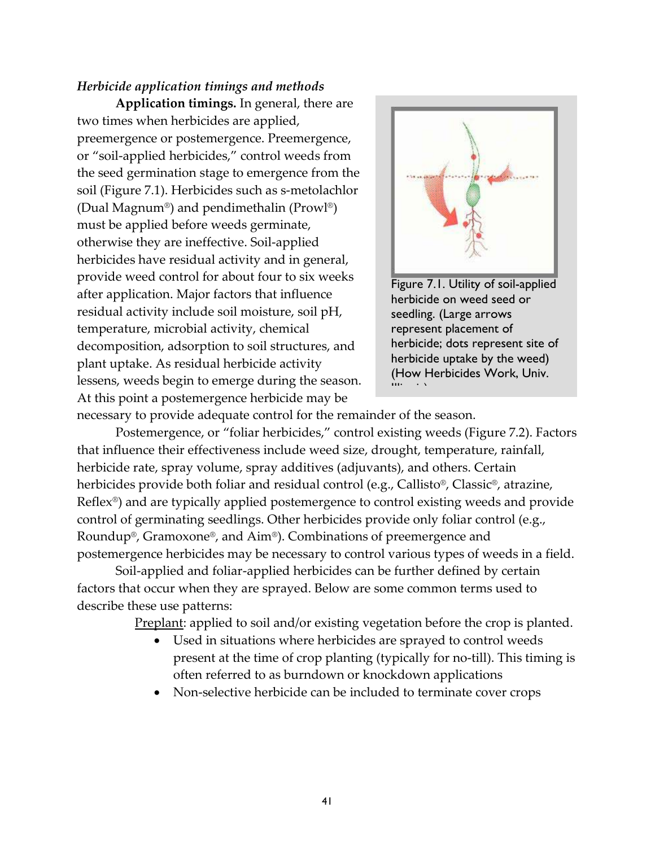#### *Herbicide application timings and methods*

**Application timings.** In general, there are two times when herbicides are applied, preemergence or postemergence. Preemergence, or "soil-applied herbicides," control weeds from the seed germination stage to emergence from the soil (Figure 7.1). Herbicides such as s-metolachlor (Dual Magnum®) and pendimethalin (Prowl®) must be applied before weeds germinate, otherwise they are ineffective. Soil-applied herbicides have residual activity and in general, provide weed control for about four to six weeks after application. Major factors that influence residual activity include soil moisture, soil pH, temperature, microbial activity, chemical decomposition, adsorption to soil structures, and plant uptake. As residual herbicide activity lessens, weeds begin to emerge during the season. At this point a postemergence herbicide may be



Figure 7.1. Utility of soil-applied herbicide on weed seed or seedling. (Large arrows represent placement of herbicide; dots represent site of herbicide uptake by the weed) (How Herbicides Work, Univ.  $\mathbf{m} \rightarrow \infty$ 

necessary to provide adequate control for the remainder of the season.

Postemergence, or "foliar herbicides," control existing weeds (Figure 7.2). Factors that influence their effectiveness include weed size, drought, temperature, rainfall, herbicide rate, spray volume, spray additives (adjuvants), and others. Certain herbicides provide both foliar and residual control (e.g., Callisto®, Classic®, atrazine, Reflex®) and are typically applied postemergence to control existing weeds and provide control of germinating seedlings. Other herbicides provide only foliar control (e.g., Roundup®, Gramoxone®, and Aim®). Combinations of preemergence and postemergence herbicides may be necessary to control various types of weeds in a field.

Soil-applied and foliar-applied herbicides can be further defined by certain factors that occur when they are sprayed. Below are some common terms used to describe these use patterns:

Preplant: applied to soil and/or existing vegetation before the crop is planted.

- Used in situations where herbicides are sprayed to control weeds present at the time of crop planting (typically for no-till). This timing is often referred to as burndown or knockdown applications
- Non-selective herbicide can be included to terminate cover crops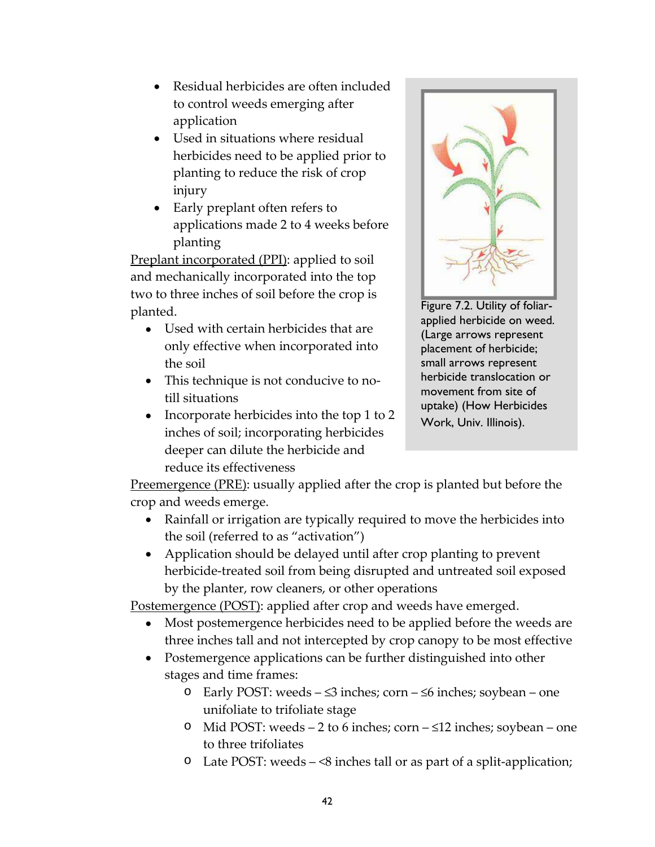- Residual herbicides are often included to control weeds emerging after application
- Used in situations where residual herbicides need to be applied prior to planting to reduce the risk of crop injury
- Early preplant often refers to applications made 2 to 4 weeks before planting

Preplant incorporated (PPI): applied to soil and mechanically incorporated into the top two to three inches of soil before the crop is planted.

- Used with certain herbicides that are only effective when incorporated into the soil
- This technique is not conducive to notill situations
- Incorporate herbicides into the top 1 to 2 inches of soil; incorporating herbicides deeper can dilute the herbicide and reduce its effectiveness



Figure 7.2. Utility of foliarapplied herbicide on weed. (Large arrows represent placement of herbicide; small arrows represent herbicide translocation or movement from site of uptake) (How Herbicides Work, Univ. Illinois).

Preemergence (PRE): usually applied after the crop is planted but before the crop and weeds emerge.

- Rainfall or irrigation are typically required to move the herbicides into the soil (referred to as "activation")
- Application should be delayed until after crop planting to prevent herbicide-treated soil from being disrupted and untreated soil exposed by the planter, row cleaners, or other operations

Postemergence (POST): applied after crop and weeds have emerged.

- Most postemergence herbicides need to be applied before the weeds are three inches tall and not intercepted by crop canopy to be most effective
- Postemergence applications can be further distinguished into other stages and time frames:
	- o Early POST: weeds ≤3 inches; corn ≤6 inches; soybean one unifoliate to trifoliate stage
	- o Mid POST: weeds 2 to 6 inches; corn ≤12 inches; soybean one to three trifoliates
	- o Late POST: weeds <8 inches tall or as part of a split-application;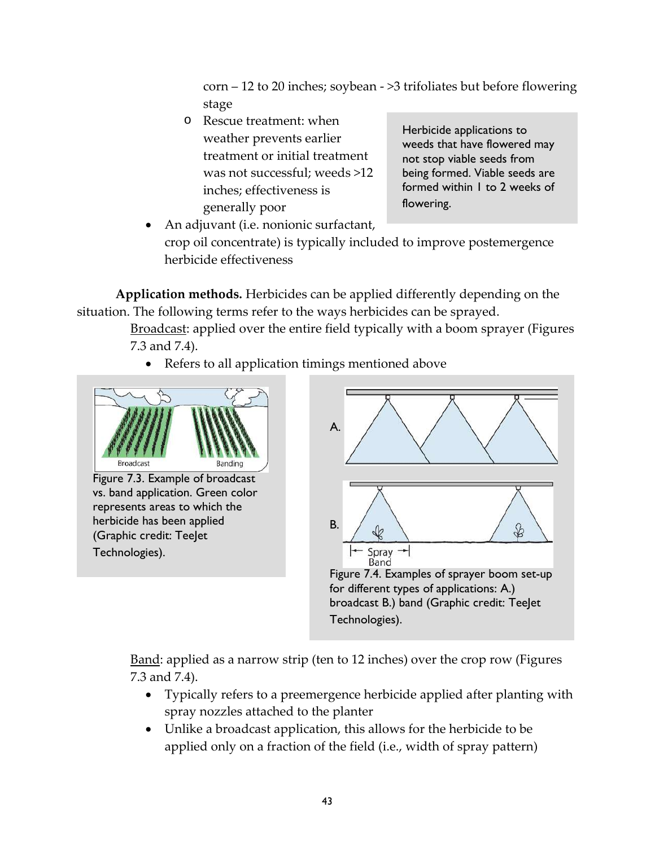corn – 12 to 20 inches; soybean - >3 trifoliates but before flowering stage

o Rescue treatment: when weather prevents earlier treatment or initial treatment was not successful; weeds >12 inches; effectiveness is generally poor

Herbicide applications to weeds that have flowered may not stop viable seeds from being formed. Viable seeds are formed within 1 to 2 weeks of flowering.

• An adjuvant (i.e. nonionic surfactant, crop oil concentrate) is typically included to improve postemergence herbicide effectiveness

**Application methods.** Herbicides can be applied differently depending on the situation. The following terms refer to the ways herbicides can be sprayed.

> Broadcast: applied over the entire field typically with a boom sprayer (Figures 7.3 and 7.4).

• Refers to all application timings mentioned above



Figure 7.3. Example of broadcast vs. band application. Green color represents areas to which the herbicide has been applied (Graphic credit: TeeJet Technologies).



Band: applied as a narrow strip (ten to 12 inches) over the crop row (Figures 7.3 and 7.4).

- Typically refers to a preemergence herbicide applied after planting with spray nozzles attached to the planter
- Unlike a broadcast application, this allows for the herbicide to be applied only on a fraction of the field (i.e., width of spray pattern)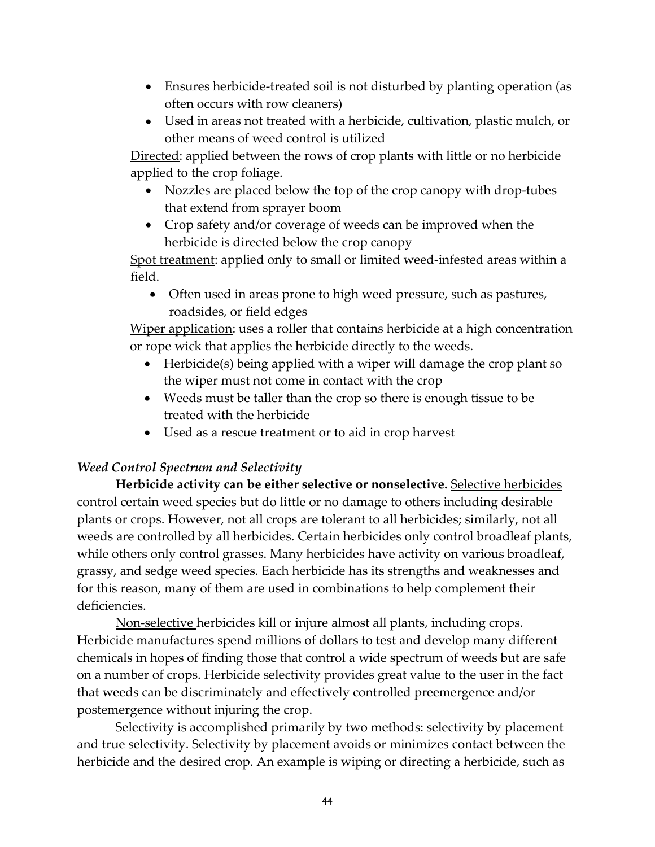- Ensures herbicide-treated soil is not disturbed by planting operation (as often occurs with row cleaners)
- Used in areas not treated with a herbicide, cultivation, plastic mulch, or other means of weed control is utilized

Directed: applied between the rows of crop plants with little or no herbicide applied to the crop foliage.

- Nozzles are placed below the top of the crop canopy with drop-tubes that extend from sprayer boom
- Crop safety and/or coverage of weeds can be improved when the herbicide is directed below the crop canopy

Spot treatment: applied only to small or limited weed-infested areas within a field.

• Often used in areas prone to high weed pressure, such as pastures, roadsides, or field edges

Wiper application: uses a roller that contains herbicide at a high concentration or rope wick that applies the herbicide directly to the weeds.

- Herbicide(s) being applied with a wiper will damage the crop plant so the wiper must not come in contact with the crop
- Weeds must be taller than the crop so there is enough tissue to be treated with the herbicide
- Used as a rescue treatment or to aid in crop harvest

### *Weed Control Spectrum and Selectivity*

**Herbicide activity can be either selective or nonselective.** Selective herbicides control certain weed species but do little or no damage to others including desirable plants or crops. However, not all crops are tolerant to all herbicides; similarly, not all weeds are controlled by all herbicides. Certain herbicides only control broadleaf plants, while others only control grasses. Many herbicides have activity on various broadleaf, grassy, and sedge weed species. Each herbicide has its strengths and weaknesses and for this reason, many of them are used in combinations to help complement their deficiencies.

Non-selective herbicides kill or injure almost all plants, including crops. Herbicide manufactures spend millions of dollars to test and develop many different chemicals in hopes of finding those that control a wide spectrum of weeds but are safe on a number of crops. Herbicide selectivity provides great value to the user in the fact that weeds can be discriminately and effectively controlled preemergence and/or postemergence without injuring the crop.

Selectivity is accomplished primarily by two methods: selectivity by placement and true selectivity. Selectivity by placement avoids or minimizes contact between the herbicide and the desired crop. An example is wiping or directing a herbicide, such as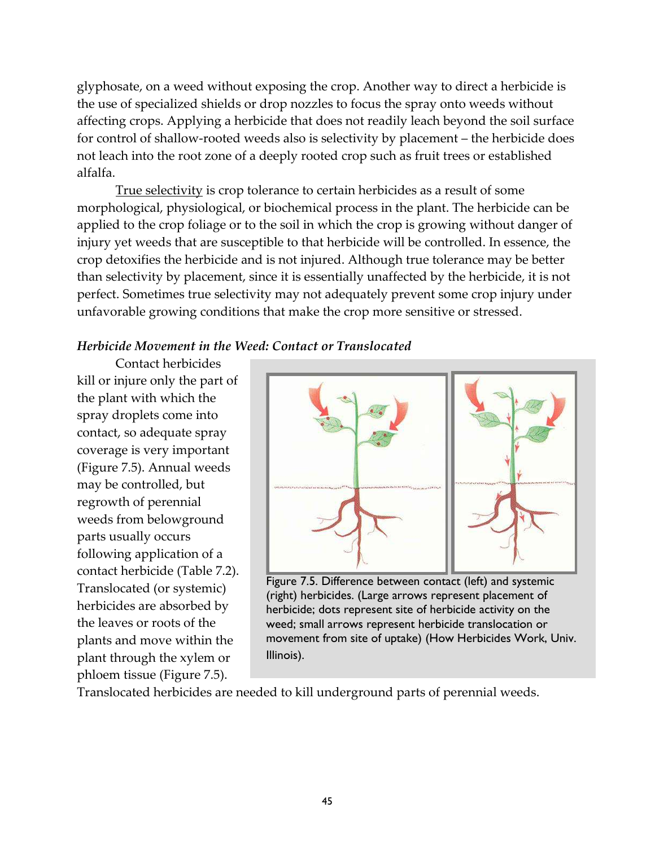glyphosate, on a weed without exposing the crop. Another way to direct a herbicide is the use of specialized shields or drop nozzles to focus the spray onto weeds without affecting crops. Applying a herbicide that does not readily leach beyond the soil surface for control of shallow-rooted weeds also is selectivity by placement – the herbicide does not leach into the root zone of a deeply rooted crop such as fruit trees or established alfalfa.

True selectivity is crop tolerance to certain herbicides as a result of some morphological, physiological, or biochemical process in the plant. The herbicide can be applied to the crop foliage or to the soil in which the crop is growing without danger of injury yet weeds that are susceptible to that herbicide will be controlled. In essence, the crop detoxifies the herbicide and is not injured. Although true tolerance may be better than selectivity by placement, since it is essentially unaffected by the herbicide, it is not perfect. Sometimes true selectivity may not adequately prevent some crop injury under unfavorable growing conditions that make the crop more sensitive or stressed.

#### *Herbicide Movement in the Weed: Contact or Translocated*

Contact herbicides kill or injure only the part of the plant with which the spray droplets come into contact, so adequate spray coverage is very important (Figure 7.5). Annual weeds may be controlled, but regrowth of perennial weeds from belowground parts usually occurs following application of a contact herbicide (Table 7.2). Translocated (or systemic) herbicides are absorbed by the leaves or roots of the plants and move within the plant through the xylem or phloem tissue (Figure 7.5).



Figure 7.5. Difference between contact (left) and systemic (right) herbicides. (Large arrows represent placement of herbicide; dots represent site of herbicide activity on the weed; small arrows represent herbicide translocation or movement from site of uptake) (How Herbicides Work, Univ. Illinois).

Translocated herbicides are needed to kill underground parts of perennial weeds.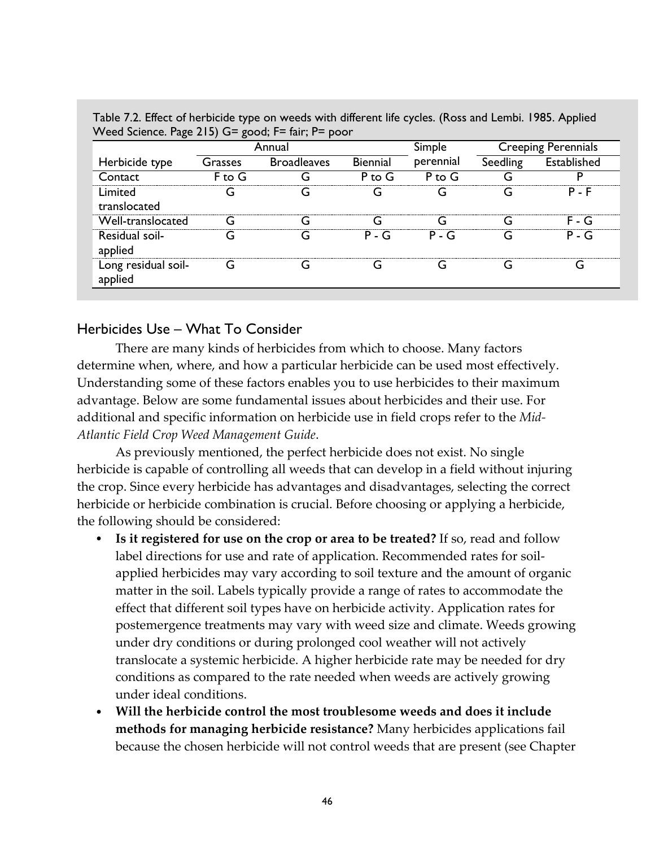| Weed Science. Page 215) G= good; $F=$ fair; $F=$ poor |            |                    |          |           |                            |             |  |  |  |
|-------------------------------------------------------|------------|--------------------|----------|-----------|----------------------------|-------------|--|--|--|
|                                                       | Annual     |                    |          | Simple    | <b>Creeping Perennials</b> |             |  |  |  |
| Herbicide type                                        | Grasses    | <b>Broadleaves</b> | Biennial | perennial | Seedling                   | Established |  |  |  |
| Contact                                               | $F$ to $G$ |                    | $P$ to G | $P$ to G  |                            |             |  |  |  |
| Limited<br>translocated                               |            |                    |          |           |                            | $P - F$     |  |  |  |
| Well-translocated                                     |            |                    |          |           |                            | - G         |  |  |  |
| Residual soil-<br>applied                             |            |                    | $P - G$  | $P - G$   |                            | $P - G$     |  |  |  |
| Long residual soil-                                   |            |                    |          |           |                            |             |  |  |  |

Table 7.2. Effect of herbicide type on weeds with different life cycles. (Ross and Lembi. 1985. Applied Weed Science. Page 215) G= good; F= fair; P= poor

### Herbicides Use – What To Consider

There are many kinds of herbicides from which to choose. Many factors determine when, where, and how a particular herbicide can be used most effectively. Understanding some of these factors enables you to use herbicides to their maximum advantage. Below are some fundamental issues about herbicides and their use. For additional and specific information on herbicide use in field crops refer to the *Mid-Atlantic Field Crop Weed Management Guide*.

As previously mentioned, the perfect herbicide does not exist. No single herbicide is capable of controlling all weeds that can develop in a field without injuring the crop. Since every herbicide has advantages and disadvantages, selecting the correct herbicide or herbicide combination is crucial. Before choosing or applying a herbicide, the following should be considered:

- **Is it registered for use on the crop or area to be treated?** If so, read and follow label directions for use and rate of application. Recommended rates for soilapplied herbicides may vary according to soil texture and the amount of organic matter in the soil. Labels typically provide a range of rates to accommodate the effect that different soil types have on herbicide activity. Application rates for postemergence treatments may vary with weed size and climate. Weeds growing under dry conditions or during prolonged cool weather will not actively translocate a systemic herbicide. A higher herbicide rate may be needed for dry conditions as compared to the rate needed when weeds are actively growing under ideal conditions.
- **Will the herbicide control the most troublesome weeds and does it include methods for managing herbicide resistance?** Many herbicides applications fail because the chosen herbicide will not control weeds that are present (see Chapter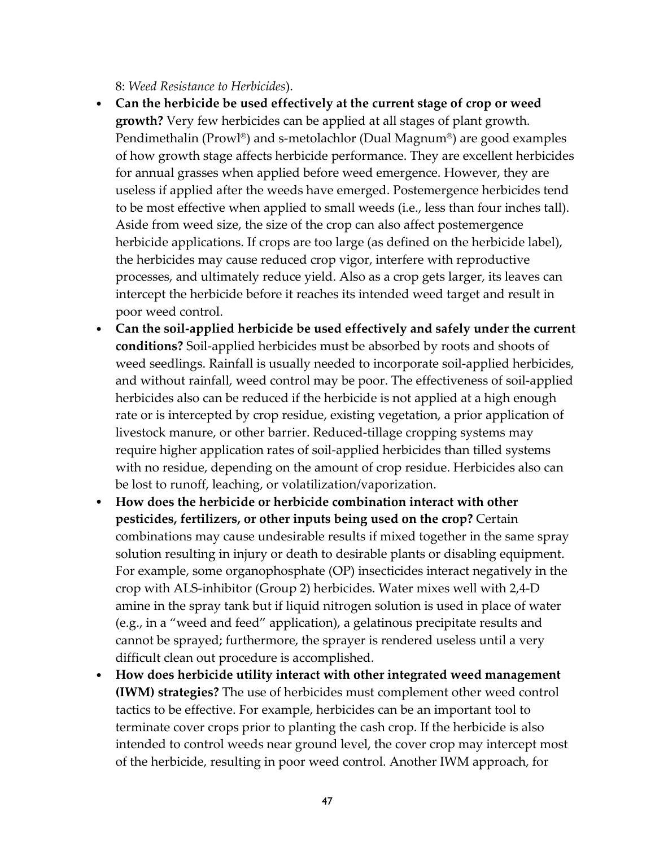8: *Weed Resistance to Herbicides*).

- **Can the herbicide be used effectively at the current stage of crop or weed growth?** Very few herbicides can be applied at all stages of plant growth. Pendimethalin (Prowl®) and s-metolachlor (Dual Magnum®) are good examples of how growth stage affects herbicide performance. They are excellent herbicides for annual grasses when applied before weed emergence. However, they are useless if applied after the weeds have emerged. Postemergence herbicides tend to be most effective when applied to small weeds (i.e., less than four inches tall). Aside from weed size, the size of the crop can also affect postemergence herbicide applications. If crops are too large (as defined on the herbicide label), the herbicides may cause reduced crop vigor, interfere with reproductive processes, and ultimately reduce yield. Also as a crop gets larger, its leaves can intercept the herbicide before it reaches its intended weed target and result in poor weed control.
- **Can the soil-applied herbicide be used effectively and safely under the current conditions?** Soil-applied herbicides must be absorbed by roots and shoots of weed seedlings. Rainfall is usually needed to incorporate soil-applied herbicides, and without rainfall, weed control may be poor. The effectiveness of soil-applied herbicides also can be reduced if the herbicide is not applied at a high enough rate or is intercepted by crop residue, existing vegetation, a prior application of livestock manure, or other barrier. Reduced-tillage cropping systems may require higher application rates of soil-applied herbicides than tilled systems with no residue, depending on the amount of crop residue. Herbicides also can be lost to runoff, leaching, or volatilization/vaporization.
- **How does the herbicide or herbicide combination interact with other pesticides, fertilizers, or other inputs being used on the crop?** Certain combinations may cause undesirable results if mixed together in the same spray solution resulting in injury or death to desirable plants or disabling equipment. For example, some organophosphate (OP) insecticides interact negatively in the crop with ALS-inhibitor (Group 2) herbicides. Water mixes well with 2,4-D amine in the spray tank but if liquid nitrogen solution is used in place of water (e.g., in a "weed and feed" application), a gelatinous precipitate results and cannot be sprayed; furthermore, the sprayer is rendered useless until a very difficult clean out procedure is accomplished.
- **How does herbicide utility interact with other integrated weed management (IWM) strategies?** The use of herbicides must complement other weed control tactics to be effective. For example, herbicides can be an important tool to terminate cover crops prior to planting the cash crop. If the herbicide is also intended to control weeds near ground level, the cover crop may intercept most of the herbicide, resulting in poor weed control. Another IWM approach, for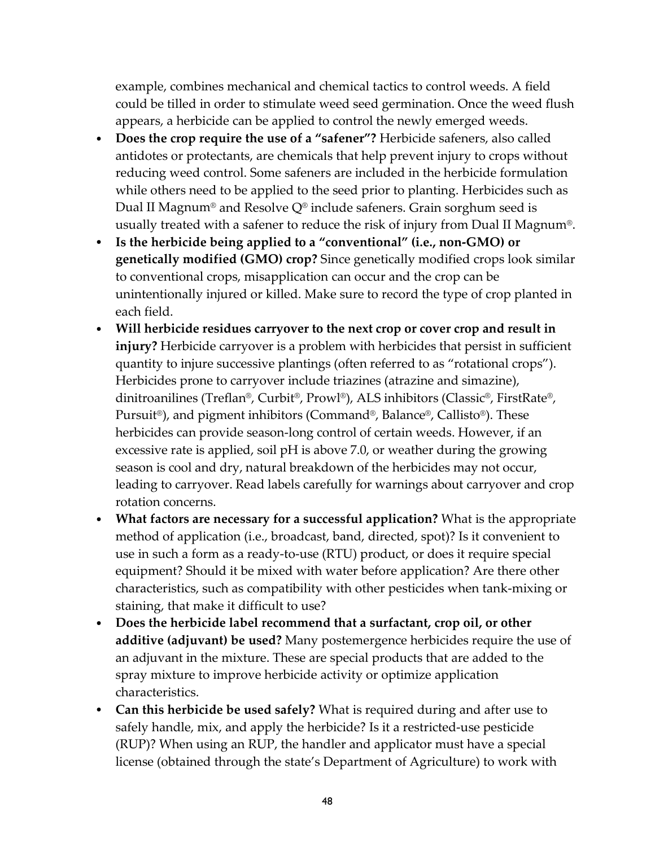example, combines mechanical and chemical tactics to control weeds. A field could be tilled in order to stimulate weed seed germination. Once the weed flush appears, a herbicide can be applied to control the newly emerged weeds.

- **Does the crop require the use of a "safener"?** Herbicide safeners, also called antidotes or protectants, are chemicals that help prevent injury to crops without reducing weed control. Some safeners are included in the herbicide formulation while others need to be applied to the seed prior to planting. Herbicides such as Dual II Magnum<sup>®</sup> and Resolve  $Q^{\circ}$  include safeners. Grain sorghum seed is usually treated with a safener to reduce the risk of injury from Dual II Magnum®.
- **Is the herbicide being applied to a "conventional" (i.e., non-GMO) or genetically modified (GMO) crop?** Since genetically modified crops look similar to conventional crops, misapplication can occur and the crop can be unintentionally injured or killed. Make sure to record the type of crop planted in each field.
- **Will herbicide residues carryover to the next crop or cover crop and result in injury?** Herbicide carryover is a problem with herbicides that persist in sufficient quantity to injure successive plantings (often referred to as "rotational crops"). Herbicides prone to carryover include triazines (atrazine and simazine), dinitroanilines (Treflan®, Curbit®, Prowl®), ALS inhibitors (Classic®, FirstRate®, Pursuit®), and pigment inhibitors (Command®, Balance®, Callisto®). These herbicides can provide season-long control of certain weeds. However, if an excessive rate is applied, soil pH is above 7.0, or weather during the growing season is cool and dry, natural breakdown of the herbicides may not occur, leading to carryover. Read labels carefully for warnings about carryover and crop rotation concerns.
- **What factors are necessary for a successful application?** What is the appropriate method of application (i.e., broadcast, band, directed, spot)? Is it convenient to use in such a form as a ready-to-use (RTU) product, or does it require special equipment? Should it be mixed with water before application? Are there other characteristics, such as compatibility with other pesticides when tank-mixing or staining, that make it difficult to use?
- **Does the herbicide label recommend that a surfactant, crop oil, or other additive (adjuvant) be used?** Many postemergence herbicides require the use of an adjuvant in the mixture. These are special products that are added to the spray mixture to improve herbicide activity or optimize application characteristics.
- **Can this herbicide be used safely?** What is required during and after use to safely handle, mix, and apply the herbicide? Is it a restricted-use pesticide (RUP)? When using an RUP, the handler and applicator must have a special license (obtained through the state's Department of Agriculture) to work with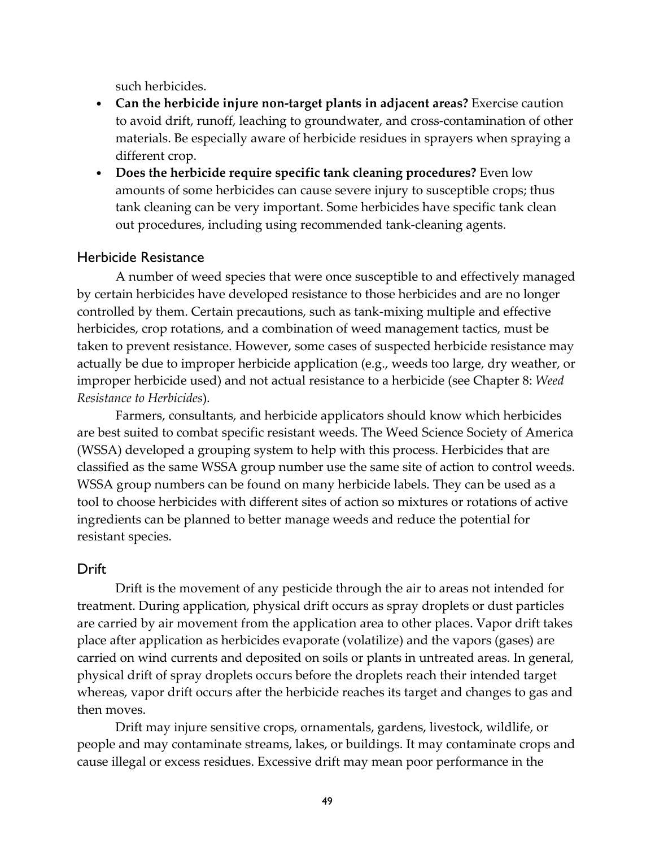such herbicides.

- **Can the herbicide injure non-target plants in adjacent areas?** Exercise caution to avoid drift, runoff, leaching to groundwater, and cross-contamination of other materials. Be especially aware of herbicide residues in sprayers when spraying a different crop.
- **Does the herbicide require specific tank cleaning procedures?** Even low amounts of some herbicides can cause severe injury to susceptible crops; thus tank cleaning can be very important. Some herbicides have specific tank clean out procedures, including using recommended tank-cleaning agents.

### Herbicide Resistance

A number of weed species that were once susceptible to and effectively managed by certain herbicides have developed resistance to those herbicides and are no longer controlled by them. Certain precautions, such as tank-mixing multiple and effective herbicides, crop rotations, and a combination of weed management tactics, must be taken to prevent resistance. However, some cases of suspected herbicide resistance may actually be due to improper herbicide application (e.g., weeds too large, dry weather, or improper herbicide used) and not actual resistance to a herbicide (see Chapter 8: *Weed Resistance to Herbicides*).

Farmers, consultants, and herbicide applicators should know which herbicides are best suited to combat specific resistant weeds. The Weed Science Society of America (WSSA) developed a grouping system to help with this process. Herbicides that are classified as the same WSSA group number use the same site of action to control weeds. WSSA group numbers can be found on many herbicide labels. They can be used as a tool to choose herbicides with different sites of action so mixtures or rotations of active ingredients can be planned to better manage weeds and reduce the potential for resistant species.

### **Drift**

Drift is the movement of any pesticide through the air to areas not intended for treatment. During application, physical drift occurs as spray droplets or dust particles are carried by air movement from the application area to other places. Vapor drift takes place after application as herbicides evaporate (volatilize) and the vapors (gases) are carried on wind currents and deposited on soils or plants in untreated areas. In general, physical drift of spray droplets occurs before the droplets reach their intended target whereas, vapor drift occurs after the herbicide reaches its target and changes to gas and then moves.

Drift may injure sensitive crops, ornamentals, gardens, livestock, wildlife, or people and may contaminate streams, lakes, or buildings. It may contaminate crops and cause illegal or excess residues. Excessive drift may mean poor performance in the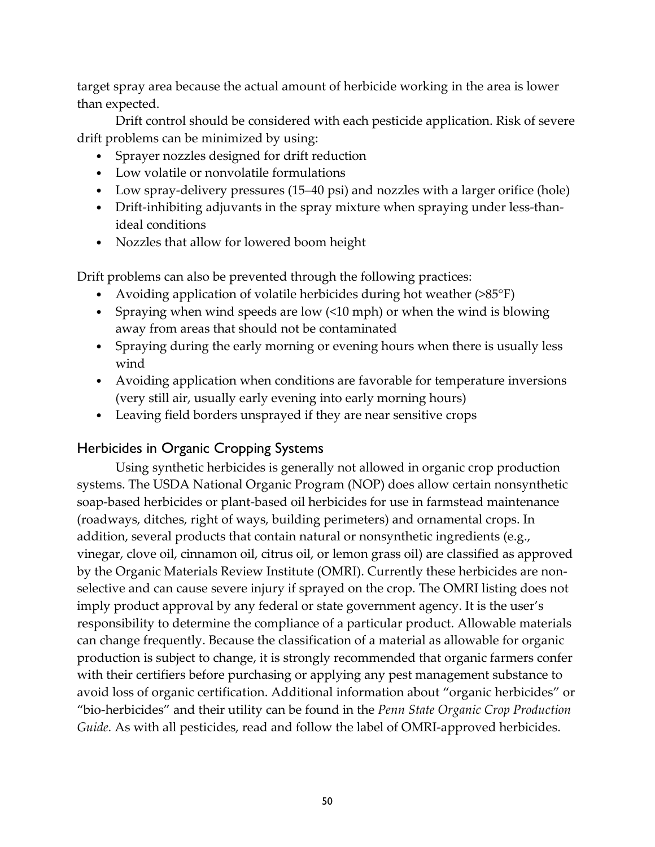target spray area because the actual amount of herbicide working in the area is lower than expected.

Drift control should be considered with each pesticide application. Risk of severe drift problems can be minimized by using:

- Sprayer nozzles designed for drift reduction
- Low volatile or nonvolatile formulations
- Low spray-delivery pressures (15–40 psi) and nozzles with a larger orifice (hole)
- Drift-inhibiting adjuvants in the spray mixture when spraying under less-thanideal conditions
- Nozzles that allow for lowered boom height

Drift problems can also be prevented through the following practices:

- Avoiding application of volatile herbicides during hot weather (>85°F)
- Spraying when wind speeds are low (<10 mph) or when the wind is blowing away from areas that should not be contaminated
- Spraying during the early morning or evening hours when there is usually less wind
- Avoiding application when conditions are favorable for temperature inversions (very still air, usually early evening into early morning hours)
- Leaving field borders unsprayed if they are near sensitive crops

### Herbicides in Organic Cropping Systems

Using synthetic herbicides is generally not allowed in organic crop production systems. The USDA National Organic Program (NOP) does allow certain nonsynthetic soap-based herbicides or plant-based oil herbicides for use in farmstead maintenance (roadways, ditches, right of ways, building perimeters) and ornamental crops. In addition, several products that contain natural or nonsynthetic ingredients (e.g., vinegar, clove oil, cinnamon oil, citrus oil, or lemon grass oil) are classified as approved by the Organic Materials Review Institute (OMRI). Currently these herbicides are nonselective and can cause severe injury if sprayed on the crop. The OMRI listing does not imply product approval by any federal or state government agency. It is the user's responsibility to determine the compliance of a particular product. Allowable materials can change frequently. Because the classification of a material as allowable for organic production is subject to change, it is strongly recommended that organic farmers confer with their certifiers before purchasing or applying any pest management substance to avoid loss of organic certification. Additional information about "organic herbicides" or "bio-herbicides" and their utility can be found in the *Penn State Organic Crop Production Guide.* As with all pesticides, read and follow the label of OMRI-approved herbicides.